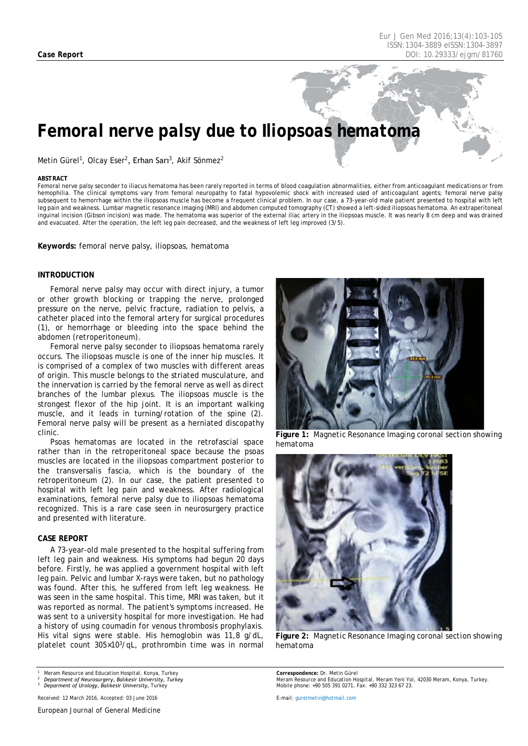# *Femoral nerve palsy due to Iliopsoas hematoma*

Metin Gürel<sup>1</sup>, Olcay Eser<sup>2</sup>, Erhan Sarı<sup>3</sup>, Akif Sönmez<sup>2</sup>

#### <span id="page-0-0"></span>*ABSTRACT*

Femoral nerve palsy seconder to iliacus hematoma has been rarely reported in terms of blood coagulation abnormalities, either from anticoagulant medications or from hemophilia. The clinical symptoms vary from femoral neuropathy to fatal hypovolemic shock with increased used of anticoagulant agents; femoral nerve palsy subsequent to hemorrhage within the iliopsoas muscle has become a frequent clinical problem. In our case, a 73-year-old male patient presented to hospital with left leg pain and weakness. Lumbar magnetic resonance imaging (MRI) and abdomen computed tomography (CT) showed a left-sided iliopsoas hematoma. An extraperitoneal inguinal incision (Gibson incision) was made. The hematoma was superior of the external iliac artery in the iliopsoas muscle. It was nearly 8 cm deep and was drained and evacuated. After the operation, the left leg pain decreased, and the weakness of left leg improved (3/5).

**Keywords:** femoral nerve palsy, iliopsoas, hematoma

#### **INTRODUCTION**

Femoral nerve palsy may occur with direct injury, a tumor or other growth blocking or trapping the nerve, prolonged pressure on the nerve, pelvic fracture, radiation to pelvis, a catheter placed into the femoral artery for surgical procedures (1), or hemorrhage or bleeding into the space behind the abdomen (retroperitoneum).

Femoral nerve palsy seconder to iliopsoas hematoma rarely occurs. The iliopsoas muscle is one of the inner hip muscles. It is comprised of a complex of two muscles with different areas of origin. This muscle belongs to the striated musculature, and the innervation is carried by the femoral nerve as well as direct branches of the lumbar plexus. The iliopsoas muscle is the strongest flexor of the hip joint. It is an important walking muscle, and it leads in turning/rotation of the spine (2). Femoral nerve palsy will be present as a herniated discopathy clinic.

Psoas hematomas are located in the retrofascial space rather than in the retroperitoneal space because the psoas muscles are located in the iliopsoas compartment posterior to the transversalis fascia, which is the boundary of the retroperitoneum (2). In our case, the patient presented to hospital with left leg pain and weakness. After radiological examinations, femoral nerve palsy due to iliopsoas hematoma recognized. This is a rare case seen in neurosurgery practice and presented with literature.

#### **CASE REPORT**

A 73-year-old male presented to the hospital suffering from left leg pain and weakness. His symptoms had begun 20 days before. Firstly, he was applied a government hospital with left leg pain. Pelvic and lumbar X-rays were taken, but no pathology was found. After this, he suffered from left leg weakness. He was seen in the same hospital. This time, MRI was taken, but it was reported as normal. The patient's symptoms increased. He was sent to a university hospital for more investigation. He had a history of using coumadin for venous thrombosis prophylaxis. His vital signs were stable. His hemoglobin was 11,8 g/dL, platelet count 305×103/qL, prothrombin time was in normal

*<sup>1</sup> Meram Resource and Education Hospital, Konya, Turkey*





**Figure 1:** *Magnetic Resonance Imaging coronal section showing hematoma*



**Figure 2:** *Magnetic Resonance Imaging coronal section showing hematoma*

*Correspondence: Dr. Metin Gürel Meram Resource and Education Hospital, Meram Yeni Yol, 42030 Meram, Konya, Turkey. Mobile phone: +90 505 391 0271, Fax: +90 332 323 67 23.*

*E-mail: gurelmetin@hotmail.com*

*<sup>2</sup> Department of Neurosurgery, Balıkesir University, Turkey <sup>3</sup> Deparment of Urology, Balıkesir University, Turkey*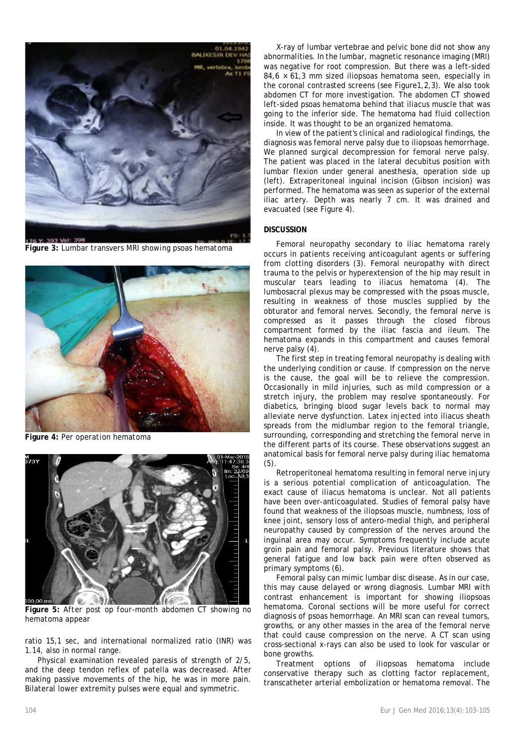

**Figure 3:** *Lumbar transvers MRI showing psoas hematoma*



**Figure 4:** *Per operation hematoma*



**Figure 5:** *After post op four-month abdomen CT showing no hematoma appear*

ratio 15,1 sec, and international normalized ratio (INR) was 1.14, also in normal range.

Physical examination revealed paresis of strength of 2/5, and the deep tendon reflex of patella was decreased. After making passive movements of the hip, he was in more pain. Bilateral lower extremity pulses were equal and symmetric.

X-ray of lumbar vertebrae and pelvic bone did not show any abnormalities. In the lumbar, magnetic resonance imaging (MRI) was negative for root compression. But there was a left-sided  $84,6 \times 61,3$  mm sized iliopsoas hematoma seen, especially in the coronal contrasted screens (see Figure1,2,3). We also took abdomen CT for more investigation. The abdomen CT showed left-sided psoas hematoma behind that iliacus muscle that was going to the inferior side. The hematoma had fluid collection inside. It was thought to be an organized hematoma.

In view of the patient's clinical and radiological findings, the diagnosis was femoral nerve palsy due to iliopsoas hemorrhage. We planned surgical decompression for femoral nerve palsy. The patient was placed in the lateral decubitus position with lumbar flexion under general anesthesia, operation side up (left). Extraperitoneal inguinal incision (Gibson incision) was performed. The hematoma was seen as superior of the external iliac artery. Depth was nearly 7 cm. It was drained and evacuated (see Figure 4).

## **DISCUSSION**

Femoral neuropathy secondary to iliac hematoma rarely occurs in patients receiving anticoagulant agents or suffering from clotting disorders (3). Femoral neuropathy with direct trauma to the pelvis or hyperextension of the hip may result in muscular tears leading to iliacus hematoma (4). The lumbosacral plexus may be compressed with the psoas muscle, resulting in weakness of those muscles supplied by the obturator and femoral nerves. Secondly, the femoral nerve is compressed as it passes through the closed fibrous compartment formed by the iliac fascia and ileum. The hematoma expands in this compartment and causes femoral nerve palsy (4).

The first step in treating femoral neuropathy is dealing with the underlying condition or cause. If compression on the nerve is the cause, the goal will be to relieve the compression. Occasionally in mild injuries, such as mild compression or a stretch injury, the problem may resolve spontaneously. For diabetics, bringing blood sugar levels back to normal may alleviate nerve dysfunction. Latex injected into iliacus sheath spreads from the midlumbar region to the femoral triangle, surrounding, corresponding and stretching the femoral nerve in the different parts of its course. These observations suggest an anatomical basis for femoral nerve palsy during iliac hematoma (5).

Retroperitoneal hematoma resulting in femoral nerve injury is a serious potential complication of anticoagulation. The exact cause of iliacus hematoma is unclear. Not all patients have been over-anticoagulated. Studies of femoral palsy have found that weakness of the iliopsoas muscle, numbness, loss of knee joint, sensory loss of antero-medial thigh, and peripheral neuropathy caused by compression of the nerves around the inguinal area may occur. Symptoms frequently include acute groin pain and femoral palsy. Previous literature shows that general fatigue and low back pain were often observed as primary symptoms (6).

Femoral palsy can mimic lumbar disc disease. As in our case, this may cause delayed or wrong diagnosis. Lumbar MRI with contrast enhancement is important for showing iliopsoas hematoma. Coronal sections will be more useful for correct diagnosis of psoas hemorrhage. An MRI scan can reveal tumors, growths, or any other masses in the area of the femoral nerve that could cause compression on the nerve. A CT scan using cross-sectional x-rays can also be used to look for vascular or bone growths.

Treatment options of iliopsoas hematoma include conservative therapy such as clotting factor replacement, transcatheter arterial embolization or hematoma removal. The